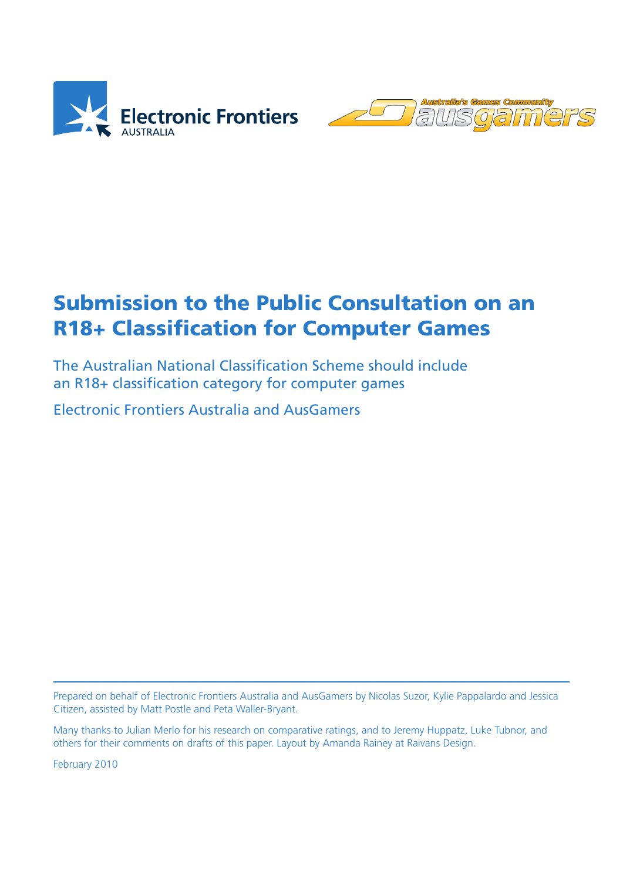



# Submission to the Public Consultation on an R18+ Classification for Computer Games

The Australian National Classification Scheme should include an R18+ classification category for computer games

Electronic Frontiers Australia and AusGamers

Prepared on behalf of Electronic Frontiers Australia and AusGamers by Nicolas Suzor, Kylie Pappalardo and Jessica Citizen, assisted by Matt Postle and Peta Waller-Bryant.

Many thanks to Julian Merlo for his research on comparative ratings, and to Jeremy Huppatz, Luke Tubnor, and others for their comments on drafts of this paper. Layout by Amanda Rainey at Raivans Design.

February 2010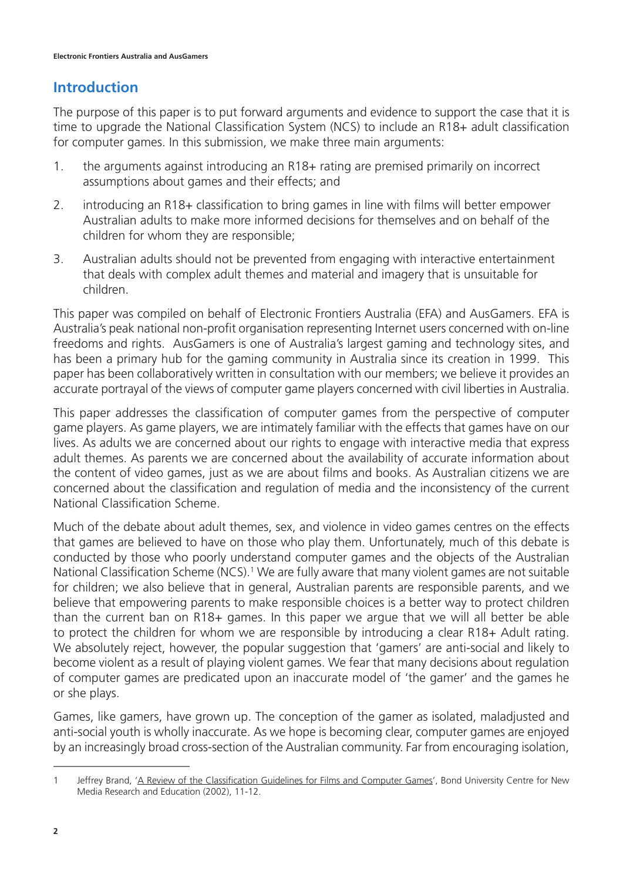## **Introduction**

The purpose of this paper is to put forward arguments and evidence to support the case that it is time to upgrade the National Classification System (NCS) to include an R18+ adult classification for computer games. In this submission, we make three main arguments:

- 1. the arguments against introducing an R18+ rating are premised primarily on incorrect assumptions about games and their effects; and
- 2. introducing an R18+ classification to bring games in line with films will better empower Australian adults to make more informed decisions for themselves and on behalf of the children for whom they are responsible;
- 3. Australian adults should not be prevented from engaging with interactive entertainment that deals with complex adult themes and material and imagery that is unsuitable for children.

This paper was compiled on behalf of Electronic Frontiers Australia (EFA) and AusGamers. EFA is Australia's peak national non-profit organisation representing Internet users concerned with on-line freedoms and rights. AusGamers is one of Australia's largest gaming and technology sites, and has been a primary hub for the gaming community in Australia since its creation in 1999. This paper has been collaboratively written in consultation with our members; we believe it provides an accurate portrayal of the views of computer game players concerned with civil liberties in Australia.

This paper addresses the classification of computer games from the perspective of computer game players. As game players, we are intimately familiar with the effects that games have on our lives. As adults we are concerned about our rights to engage with interactive media that express adult themes. As parents we are concerned about the availability of accurate information about the content of video games, just as we are about films and books. As Australian citizens we are concerned about the classification and regulation of media and the inconsistency of the current National Classification Scheme.

Much of the debate about adult themes, sex, and violence in video games centres on the effects that games are believed to have on those who play them. Unfortunately, much of this debate is conducted by those who poorly understand computer games and the objects of the Australian National Classification Scheme (NCS).<sup>1</sup> We are fully aware that many violent games are not suitable for children; we also believe that in general, Australian parents are responsible parents, and we believe that empowering parents to make responsible choices is a better way to protect children than the current ban on R18+ games. In this paper we argue that we will all better be able to protect the children for whom we are responsible by introducing a clear R18+ Adult rating. We absolutely reject, however, the popular suggestion that 'gamers' are anti-social and likely to become violent as a result of playing violent games. We fear that many decisions about regulation of computer games are predicated upon an inaccurate model of 'the gamer' and the games he or she plays.

Games, like gamers, have grown up. The conception of the gamer as isolated, maladjusted and anti-social youth is wholly inaccurate. As we hope is becoming clear, computer games are enjoyed by an increasingly broad cross-section of the Australian community. Far from encouraging isolation,

<sup>1</sup> Jeffrey Brand, 'A Review of the Classification Guidelines for Films and Computer Games', Bond University Centre for New Media Research and Education (2002), 11-12.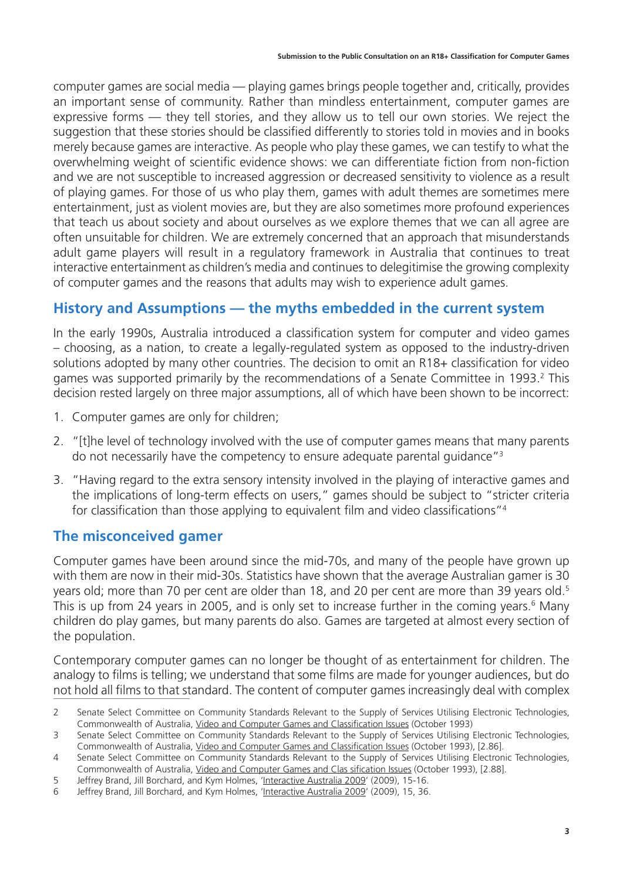computer games are social media — playing games brings people together and, critically, provides an important sense of community. Rather than mindless entertainment, computer games are expressive forms — they tell stories, and they allow us to tell our own stories. We reject the suggestion that these stories should be classified differently to stories told in movies and in books merely because games are interactive. As people who play these games, we can testify to what the overwhelming weight of scientific evidence shows: we can differentiate fiction from non-fiction and we are not susceptible to increased aggression or decreased sensitivity to violence as a result of playing games. For those of us who play them, games with adult themes are sometimes mere entertainment, just as violent movies are, but they are also sometimes more profound experiences that teach us about society and about ourselves as we explore themes that we can all agree are often unsuitable for children. We are extremely concerned that an approach that misunderstands adult game players will result in a regulatory framework in Australia that continues to treat interactive entertainment as children's media and continues to delegitimise the growing complexity of computer games and the reasons that adults may wish to experience adult games.

## **History and Assumptions — the myths embedded in the current system**

In the early 1990s, Australia introduced a classification system for computer and video games – choosing, as a nation, to create a legally-regulated system as opposed to the industry-driven solutions adopted by many other countries. The decision to omit an R18+ classification for video games was supported primarily by the recommendations of a Senate Committee in 1993.<sup>2</sup> This decision rested largely on three major assumptions, all of which have been shown to be incorrect:

- 1. Computer games are only for children;
- 2. "[t]he level of technology involved with the use of computer games means that many parents do not necessarily have the competency to ensure adequate parental guidance"3
- 3. "Having regard to the extra sensory intensity involved in the playing of interactive games and the implications of long-term effects on users," games should be subject to "stricter criteria for classification than those applying to equivalent film and video classifications"4

## **The misconceived gamer**

Computer games have been around since the mid-70s, and many of the people have grown up with them are now in their mid-30s. Statistics have shown that the average Australian gamer is 30 years old; more than 70 per cent are older than 18, and 20 per cent are more than 39 years old.<sup>5</sup> This is up from 24 years in 2005, and is only set to increase further in the coming years.<sup>6</sup> Many children do play games, but many parents do also. Games are targeted at almost every section of the population.

Contemporary computer games can no longer be thought of as entertainment for children. The analogy to films is telling; we understand that some films are made for younger audiences, but do not hold all films to that standard. The content of computer games increasingly deal with complex

<sup>2</sup> Senate Select Committee on Community Standards Relevant to the Supply of Services Utilising Electronic Technologies, Commonwealth of Australia, Video and Computer Games and Classification Issues (October 1993)

<sup>3</sup> Senate Select Committee on Community Standards Relevant to the Supply of Services Utilising Electronic Technologies, Commonwealth of Australia, Video and Computer Games and Classification Issues (October 1993), [2.86].

<sup>4</sup> Senate Select Committee on Community Standards Relevant to the Supply of Services Utilising Electronic Technologies, Commonwealth of Australia, Video and Computer Games and Clas sification Issues (October 1993), [2.88].

<sup>5</sup> Jeffrey Brand, Jill Borchard, and Kym Holmes, 'Interactive Australia 2009' (2009), 15-16.

<sup>6</sup> Jeffrey Brand, Jill Borchard, and Kym Holmes, 'Interactive Australia 2009' (2009), 15, 36.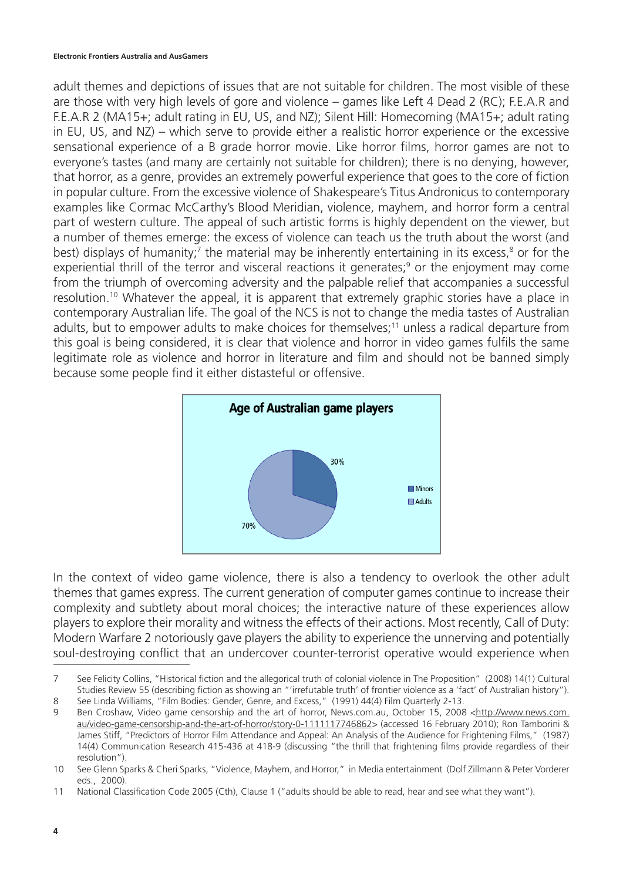adult themes and depictions of issues that are not suitable for children. The most visible of these are those with very high levels of gore and violence – games like Left 4 Dead 2 (RC); F.E.A.R and F.E.A.R 2 (MA15+; adult rating in EU, US, and NZ); Silent Hill: Homecoming (MA15+; adult rating in EU, US, and NZ) – which serve to provide either a realistic horror experience or the excessive sensational experience of a B grade horror movie. Like horror films, horror games are not to everyone's tastes (and many are certainly not suitable for children); there is no denying, however, that horror, as a genre, provides an extremely powerful experience that goes to the core of fiction in popular culture. From the excessive violence of Shakespeare's Titus Andronicus to contemporary examples like Cormac McCarthy's Blood Meridian, violence, mayhem, and horror form a central part of western culture. The appeal of such artistic forms is highly dependent on the viewer, but a number of themes emerge: the excess of violence can teach us the truth about the worst (and best) displays of humanity;<sup>7</sup> the material may be inherently entertaining in its excess,<sup>8</sup> or for the experiential thrill of the terror and visceral reactions it generates;<sup>9</sup> or the enjoyment may come from the triumph of overcoming adversity and the palpable relief that accompanies a successful resolution.<sup>10</sup> Whatever the appeal, it is apparent that extremely graphic stories have a place in contemporary Australian life. The goal of the NCS is not to change the media tastes of Australian adults, but to empower adults to make choices for themselves;<sup>11</sup> unless a radical departure from this goal is being considered, it is clear that violence and horror in video games fulfils the same legitimate role as violence and horror in literature and film and should not be banned simply because some people find it either distasteful or offensive.



In the context of video game violence, there is also a tendency to overlook the other adult themes that games express. The current generation of computer games continue to increase their complexity and subtlety about moral choices; the interactive nature of these experiences allow players to explore their morality and witness the effects of their actions. Most recently, Call of Duty: Modern Warfare 2 notoriously gave players the ability to experience the unnerving and potentially soul-destroying conflict that an undercover counter-terrorist operative would experience when

<sup>7</sup> See Felicity Collins, "Historical fiction and the allegorical truth of colonial violence in The Proposition" (2008) 14(1) Cultural Studies Review 55 (describing fiction as showing an "'irrefutable truth' of frontier violence as a 'fact' of Australian history"). 8 See Linda Williams, "Film Bodies: Gender, Genre, and Excess," (1991) 44(4) Film Quarterly 2-13.

<sup>9</sup> Ben Croshaw, Video game censorship and the art of horror, News.com.au, October 15, 2008 <http://www.news.com.

au/video-game-censorship-and-the-art-of-horror/story-0-1111117746862> (accessed 16 February 2010); Ron Tamborini & James Stiff, "Predictors of Horror Film Attendance and Appeal: An Analysis of the Audience for Frightening Films," (1987) 14(4) Communication Research 415-436 at 418-9 (discussing "the thrill that frightening films provide regardless of their resolution").

<sup>10</sup> See Glenn Sparks & Cheri Sparks, "Violence, Mayhem, and Horror," in Media entertainment (Dolf Zillmann & Peter Vorderer eds., 2000).

<sup>11</sup> National Classification Code 2005 (Cth), Clause 1 ("adults should be able to read, hear and see what they want").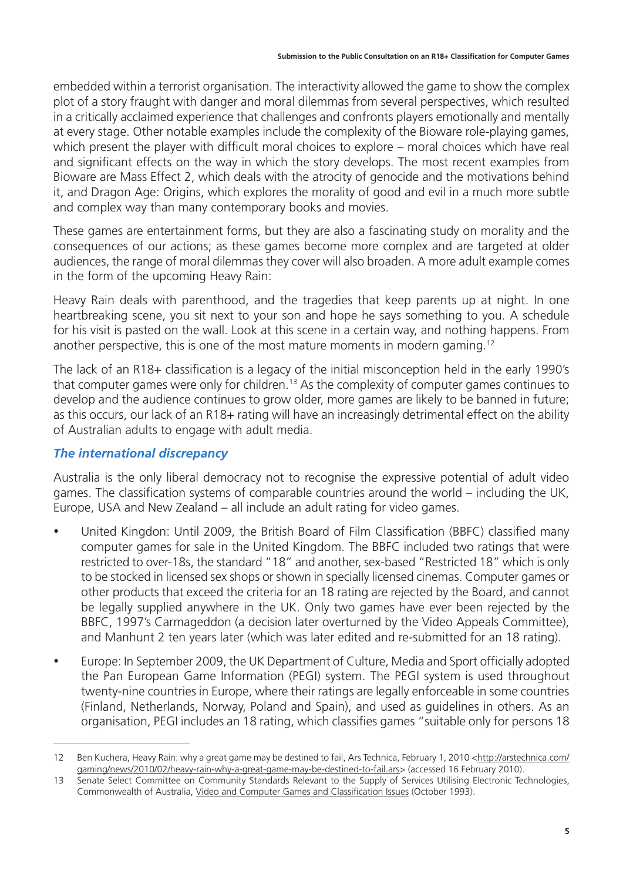embedded within a terrorist organisation. The interactivity allowed the game to show the complex plot of a story fraught with danger and moral dilemmas from several perspectives, which resulted in a critically acclaimed experience that challenges and confronts players emotionally and mentally at every stage. Other notable examples include the complexity of the Bioware role-playing games, which present the player with difficult moral choices to explore – moral choices which have real and significant effects on the way in which the story develops. The most recent examples from Bioware are Mass Effect 2, which deals with the atrocity of genocide and the motivations behind it, and Dragon Age: Origins, which explores the morality of good and evil in a much more subtle and complex way than many contemporary books and movies.

These games are entertainment forms, but they are also a fascinating study on morality and the consequences of our actions; as these games become more complex and are targeted at older audiences, the range of moral dilemmas they cover will also broaden. A more adult example comes in the form of the upcoming Heavy Rain:

Heavy Rain deals with parenthood, and the tragedies that keep parents up at night. In one heartbreaking scene, you sit next to your son and hope he says something to you. A schedule for his visit is pasted on the wall. Look at this scene in a certain way, and nothing happens. From another perspective, this is one of the most mature moments in modern gaming.<sup>12</sup>

The lack of an R18+ classification is a legacy of the initial misconception held in the early 1990's that computer games were only for children.13 As the complexity of computer games continues to develop and the audience continues to grow older, more games are likely to be banned in future; as this occurs, our lack of an R18+ rating will have an increasingly detrimental effect on the ability of Australian adults to engage with adult media.

### *The international discrepancy*

Australia is the only liberal democracy not to recognise the expressive potential of adult video games. The classification systems of comparable countries around the world – including the UK, Europe, USA and New Zealand – all include an adult rating for video games.

- United Kingdon: Until 2009, the British Board of Film Classification (BBFC) classified many computer games for sale in the United Kingdom. The BBFC included two ratings that were restricted to over-18s, the standard "18" and another, sex-based "Restricted 18" which is only to be stocked in licensed sex shops or shown in specially licensed cinemas. Computer games or other products that exceed the criteria for an 18 rating are rejected by the Board, and cannot be legally supplied anywhere in the UK. Only two games have ever been rejected by the BBFC, 1997's Carmageddon (a decision later overturned by the Video Appeals Committee), and Manhunt 2 ten years later (which was later edited and re-submitted for an 18 rating).
- Europe: In September 2009, the UK Department of Culture, Media and Sport officially adopted the Pan European Game Information (PEGI) system. The PEGI system is used throughout twenty-nine countries in Europe, where their ratings are legally enforceable in some countries (Finland, Netherlands, Norway, Poland and Spain), and used as guidelines in others. As an organisation, PEGI includes an 18 rating, which classifies games "suitable only for persons 18

<sup>12</sup> Ben Kuchera, Heavy Rain: why a great game may be destined to fail, Ars Technica, February 1, 2010 <http://arstechnica.com/ gaming/news/2010/02/heavy-rain-why-a-great-game-may-be-destined-to-fail.ars> (accessed 16 February 2010).

<sup>13</sup> Senate Select Committee on Community Standards Relevant to the Supply of Services Utilising Electronic Technologies, Commonwealth of Australia, Video and Computer Games and Classification Issues (October 1993).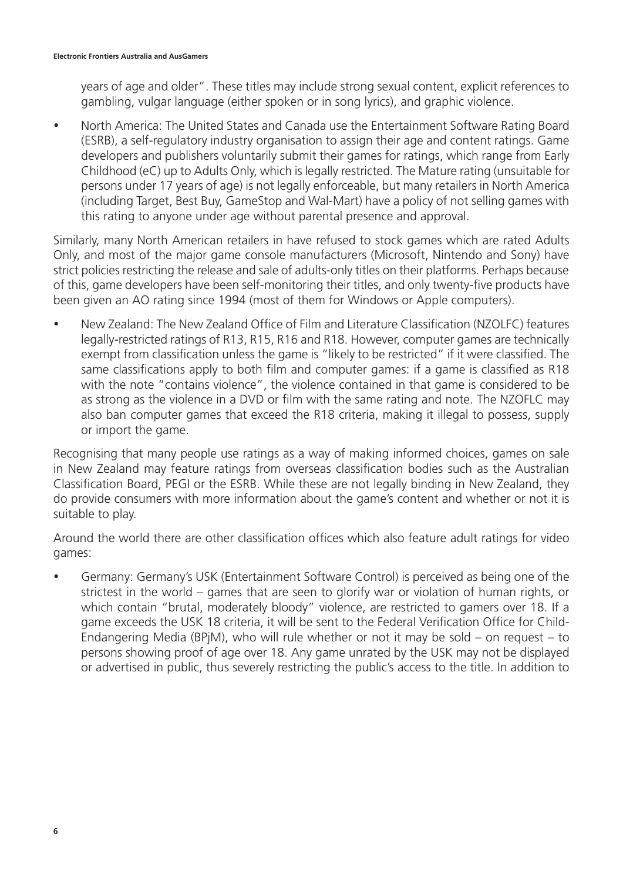years of age and older". These titles may include strong sexual content, explicit references to gambling, vulgar language (either spoken or in song lyrics), and graphic violence.

• North America: The United States and Canada use the Entertainment Software Rating Board (ESRB), a self-regulatory industry organisation to assign their age and content ratings. Game developers and publishers voluntarily submit their games for ratings, which range from Early Childhood (eC) up to Adults Only, which is legally restricted. The Mature rating (unsuitable for persons under 17 years of age) is not legally enforceable, but many retailers in North America (including Target, Best Buy, GameStop and Wal-Mart) have a policy of not selling games with this rating to anyone under age without parental presence and approval.

Similarly, many North American retailers in have refused to stock games which are rated Adults Only, and most of the major game console manufacturers (Microsoft, Nintendo and Sony) have strict policies restricting the release and sale of adults-only titles on their platforms. Perhaps because of this, game developers have been self-monitoring their titles, and only twenty-five products have been given an AO rating since 1994 (most of them for Windows or Apple computers).

New Zealand: The New Zealand Office of Film and Literature Classification (NZOLFC) features legally-restricted ratings of R13, R15, R16 and R18. However, computer games are technically exempt from classification unless the game is "likely to be restricted" if it were classified. The same classifications apply to both film and computer games: if a game is classified as R18 with the note "contains violence", the violence contained in that game is considered to be as strong as the violence in a DVD or film with the same rating and note. The NZOFLC may also ban computer games that exceed the R18 criteria, making it illegal to possess, supply or import the game.

Recognising that many people use ratings as a way of making informed choices, games on sale in New Zealand may feature ratings from overseas classification bodies such as the Australian Classification Board, PEGI or the ESRB. While these are not legally binding in New Zealand, they do provide consumers with more information about the game's content and whether or not it is suitable to play.

Around the world there are other classification offices which also feature adult ratings for video games:

Germany: Germany's USK (Entertainment Software Control) is perceived as being one of the strictest in the world – games that are seen to glorify war or violation of human rights, or which contain "brutal, moderately bloody" violence, are restricted to gamers over 18. If a game exceeds the USK 18 criteria, it will be sent to the Federal Verification Office for Child-Endangering Media (BPjM), who will rule whether or not it may be sold – on request – to persons showing proof of age over 18. Any game unrated by the USK may not be displayed or advertised in public, thus severely restricting the public's access to the title. In addition to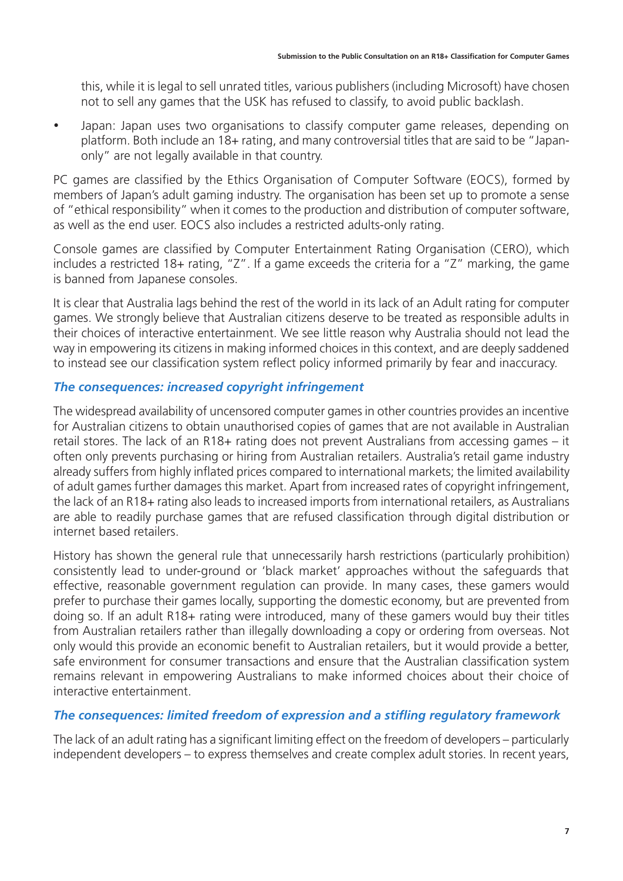this, while it is legal to sell unrated titles, various publishers (including Microsoft) have chosen not to sell any games that the USK has refused to classify, to avoid public backlash.

• Japan: Japan uses two organisations to classify computer game releases, depending on platform. Both include an 18+ rating, and many controversial titles that are said to be "Japanonly" are not legally available in that country.

PC games are classified by the Ethics Organisation of Computer Software (EOCS), formed by members of Japan's adult gaming industry. The organisation has been set up to promote a sense of "ethical responsibility" when it comes to the production and distribution of computer software, as well as the end user. EOCS also includes a restricted adults-only rating.

Console games are classified by Computer Entertainment Rating Organisation (CERO), which includes a restricted 18+ rating, "Z". If a game exceeds the criteria for a "Z" marking, the game is banned from Japanese consoles.

It is clear that Australia lags behind the rest of the world in its lack of an Adult rating for computer games. We strongly believe that Australian citizens deserve to be treated as responsible adults in their choices of interactive entertainment. We see little reason why Australia should not lead the way in empowering its citizens in making informed choices in this context, and are deeply saddened to instead see our classification system reflect policy informed primarily by fear and inaccuracy.

#### *The consequences: increased copyright infringement*

The widespread availability of uncensored computer games in other countries provides an incentive for Australian citizens to obtain unauthorised copies of games that are not available in Australian retail stores. The lack of an R18+ rating does not prevent Australians from accessing games – it often only prevents purchasing or hiring from Australian retailers. Australia's retail game industry already suffers from highly inflated prices compared to international markets; the limited availability of adult games further damages this market. Apart from increased rates of copyright infringement, the lack of an R18+ rating also leads to increased imports from international retailers, as Australians are able to readily purchase games that are refused classification through digital distribution or internet based retailers.

History has shown the general rule that unnecessarily harsh restrictions (particularly prohibition) consistently lead to under-ground or 'black market' approaches without the safeguards that effective, reasonable government regulation can provide. In many cases, these gamers would prefer to purchase their games locally, supporting the domestic economy, but are prevented from doing so. If an adult R18+ rating were introduced, many of these gamers would buy their titles from Australian retailers rather than illegally downloading a copy or ordering from overseas. Not only would this provide an economic benefit to Australian retailers, but it would provide a better, safe environment for consumer transactions and ensure that the Australian classification system remains relevant in empowering Australians to make informed choices about their choice of interactive entertainment.

### *The consequences: limited freedom of expression and a stifling regulatory framework*

The lack of an adult rating has a significant limiting effect on the freedom of developers – particularly independent developers – to express themselves and create complex adult stories. In recent years,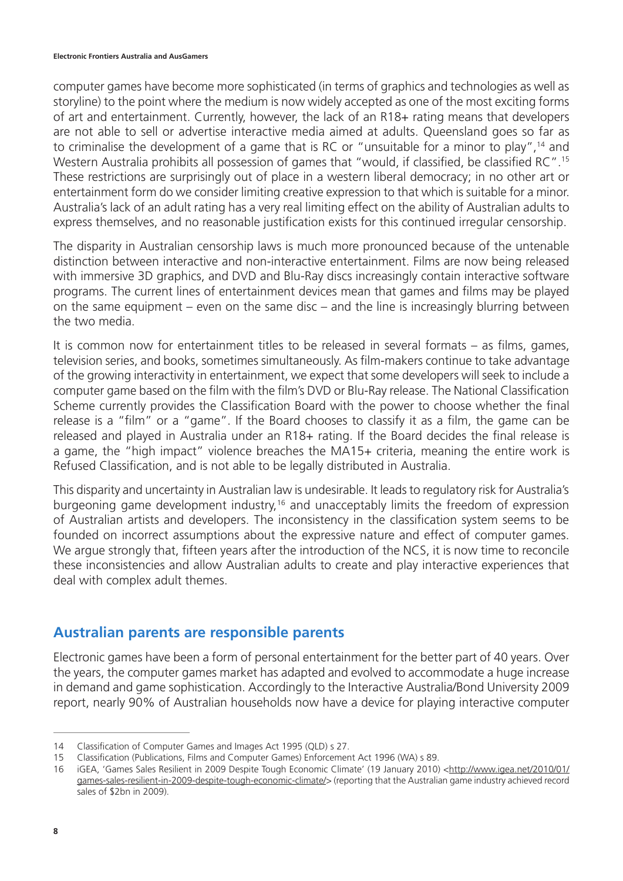#### **Electronic Frontiers Australia and AusGamers**

computer games have become more sophisticated (in terms of graphics and technologies as well as storyline) to the point where the medium is now widely accepted as one of the most exciting forms of art and entertainment. Currently, however, the lack of an R18+ rating means that developers are not able to sell or advertise interactive media aimed at adults. Queensland goes so far as to criminalise the development of a game that is RC or "unsuitable for a minor to play",<sup>14</sup> and Western Australia prohibits all possession of games that "would, if classified, be classified RC".<sup>15</sup> These restrictions are surprisingly out of place in a western liberal democracy; in no other art or entertainment form do we consider limiting creative expression to that which is suitable for a minor. Australia's lack of an adult rating has a very real limiting effect on the ability of Australian adults to express themselves, and no reasonable justification exists for this continued irregular censorship.

The disparity in Australian censorship laws is much more pronounced because of the untenable distinction between interactive and non-interactive entertainment. Films are now being released with immersive 3D graphics, and DVD and Blu-Ray discs increasingly contain interactive software programs. The current lines of entertainment devices mean that games and films may be played on the same equipment – even on the same disc – and the line is increasingly blurring between the two media.

It is common now for entertainment titles to be released in several formats – as films, games, television series, and books, sometimes simultaneously. As film-makers continue to take advantage of the growing interactivity in entertainment, we expect that some developers will seek to include a computer game based on the film with the film's DVD or Blu-Ray release. The National Classification Scheme currently provides the Classification Board with the power to choose whether the final release is a "film" or a "game". If the Board chooses to classify it as a film, the game can be released and played in Australia under an R18+ rating. If the Board decides the final release is a game, the "high impact" violence breaches the MA15+ criteria, meaning the entire work is Refused Classification, and is not able to be legally distributed in Australia.

This disparity and uncertainty in Australian law is undesirable. It leads to regulatory risk for Australia's burgeoning game development industry,<sup>16</sup> and unacceptably limits the freedom of expression of Australian artists and developers. The inconsistency in the classification system seems to be founded on incorrect assumptions about the expressive nature and effect of computer games. We argue strongly that, fifteen years after the introduction of the NCS, it is now time to reconcile these inconsistencies and allow Australian adults to create and play interactive experiences that deal with complex adult themes.

### **Australian parents are responsible parents**

Electronic games have been a form of personal entertainment for the better part of 40 years. Over the years, the computer games market has adapted and evolved to accommodate a huge increase in demand and game sophistication. Accordingly to the Interactive Australia/Bond University 2009 report, nearly 90% of Australian households now have a device for playing interactive computer

<sup>14</sup> Classification of Computer Games and Images Act 1995 (QLD) s 27.

<sup>15</sup> Classification (Publications, Films and Computer Games) Enforcement Act 1996 (WA) s 89.

<sup>16</sup> iGEA, 'Games Sales Resilient in 2009 Despite Tough Economic Climate' (19 January 2010) <http://www.igea.net/2010/01/ games-sales-resilient-in-2009-despite-tough-economic-climate/> (reporting that the Australian game industry achieved record sales of \$2bn in 2009).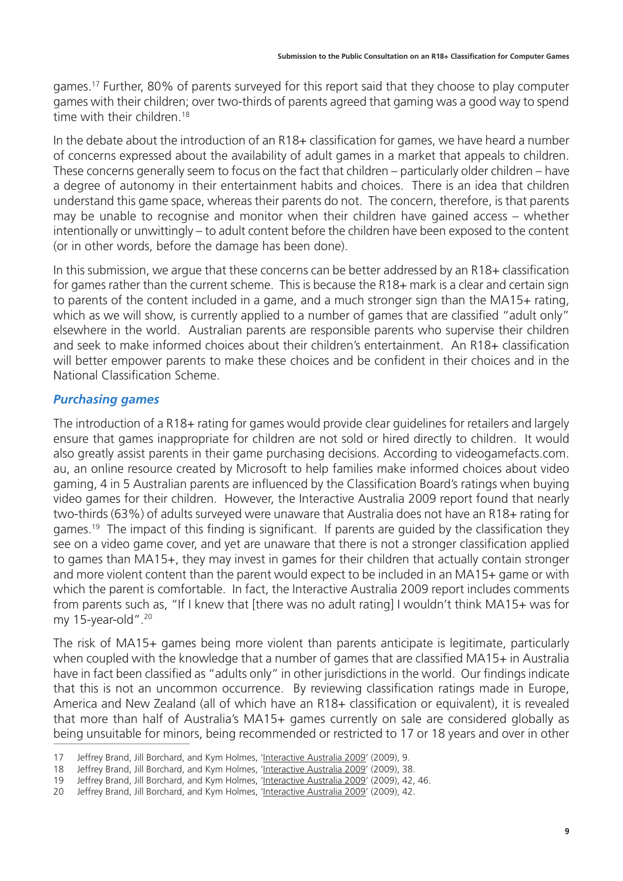games.17 Further, 80% of parents surveyed for this report said that they choose to play computer games with their children; over two-thirds of parents agreed that gaming was a good way to spend time with their children.<sup>18</sup>

In the debate about the introduction of an R18+ classification for games, we have heard a number of concerns expressed about the availability of adult games in a market that appeals to children. These concerns generally seem to focus on the fact that children – particularly older children – have a degree of autonomy in their entertainment habits and choices. There is an idea that children understand this game space, whereas their parents do not. The concern, therefore, is that parents may be unable to recognise and monitor when their children have gained access – whether intentionally or unwittingly – to adult content before the children have been exposed to the content (or in other words, before the damage has been done).

In this submission, we argue that these concerns can be better addressed by an R18+ classification for games rather than the current scheme. This is because the R18+ mark is a clear and certain sign to parents of the content included in a game, and a much stronger sign than the MA15+ rating, which as we will show, is currently applied to a number of games that are classified "adult only" elsewhere in the world. Australian parents are responsible parents who supervise their children and seek to make informed choices about their children's entertainment. An R18+ classification will better empower parents to make these choices and be confident in their choices and in the National Classification Scheme.

### *Purchasing games*

The introduction of a R18+ rating for games would provide clear guidelines for retailers and largely ensure that games inappropriate for children are not sold or hired directly to children. It would also greatly assist parents in their game purchasing decisions. According to videogamefacts.com. au, an online resource created by Microsoft to help families make informed choices about video gaming, 4 in 5 Australian parents are influenced by the Classification Board's ratings when buying video games for their children. However, the Interactive Australia 2009 report found that nearly two-thirds (63%) of adults surveyed were unaware that Australia does not have an R18+ rating for games.<sup>19</sup> The impact of this finding is significant. If parents are guided by the classification they see on a video game cover, and yet are unaware that there is not a stronger classification applied to games than MA15+, they may invest in games for their children that actually contain stronger and more violent content than the parent would expect to be included in an MA15+ game or with which the parent is comfortable. In fact, the Interactive Australia 2009 report includes comments from parents such as, "If I knew that [there was no adult rating] I wouldn't think MA15+ was for my 15-year-old".<sup>20</sup>

The risk of MA15+ games being more violent than parents anticipate is legitimate, particularly when coupled with the knowledge that a number of games that are classified MA15+ in Australia have in fact been classified as "adults only" in other jurisdictions in the world. Our findings indicate that this is not an uncommon occurrence. By reviewing classification ratings made in Europe, America and New Zealand (all of which have an R18+ classification or equivalent), it is revealed that more than half of Australia's MA15+ games currently on sale are considered globally as being unsuitable for minors, being recommended or restricted to 17 or 18 years and over in other

<sup>17</sup> Jeffrey Brand, Jill Borchard, and Kym Holmes, 'Interactive Australia 2009' (2009), 9.

<sup>18</sup> Jeffrey Brand, Jill Borchard, and Kym Holmes, 'Interactive Australia 2009' (2009), 38.

<sup>19</sup> Jeffrey Brand, Jill Borchard, and Kym Holmes, 'Interactive Australia 2009' (2009), 42, 46.

<sup>20</sup> Jeffrey Brand, Jill Borchard, and Kym Holmes, 'Interactive Australia 2009' (2009), 42.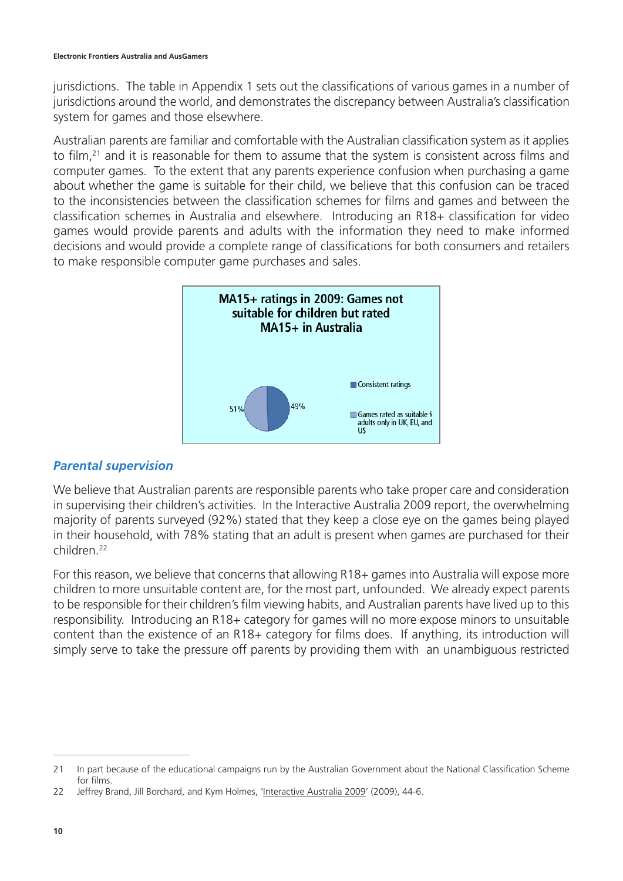jurisdictions. The table in Appendix 1 sets out the classifications of various games in a number of jurisdictions around the world, and demonstrates the discrepancy between Australia's classification system for games and those elsewhere.

Australian parents are familiar and comfortable with the Australian classification system as it applies to film,<sup>21</sup> and it is reasonable for them to assume that the system is consistent across films and computer games. To the extent that any parents experience confusion when purchasing a game about whether the game is suitable for their child, we believe that this confusion can be traced to the inconsistencies between the classification schemes for films and games and between the classification schemes in Australia and elsewhere. Introducing an R18+ classification for video games would provide parents and adults with the information they need to make informed decisions and would provide a complete range of classifications for both consumers and retailers to make responsible computer game purchases and sales.



#### *Parental supervision*

We believe that Australian parents are responsible parents who take proper care and consideration in supervising their children's activities. In the Interactive Australia 2009 report, the overwhelming majority of parents surveyed (92%) stated that they keep a close eye on the games being played in their household, with 78% stating that an adult is present when games are purchased for their children<sup>22</sup>

For this reason, we believe that concerns that allowing R18+ games into Australia will expose more children to more unsuitable content are, for the most part, unfounded. We already expect parents to be responsible for their children's film viewing habits, and Australian parents have lived up to this responsibility. Introducing an R18+ category for games will no more expose minors to unsuitable content than the existence of an R18+ category for films does. If anything, its introduction will simply serve to take the pressure off parents by providing them with an unambiguous restricted

<sup>21</sup> In part because of the educational campaigns run by the Australian Government about the National Classification Scheme for films.

<sup>22</sup> Jeffrey Brand, Jill Borchard, and Kym Holmes, 'Interactive Australia 2009' (2009), 44-6.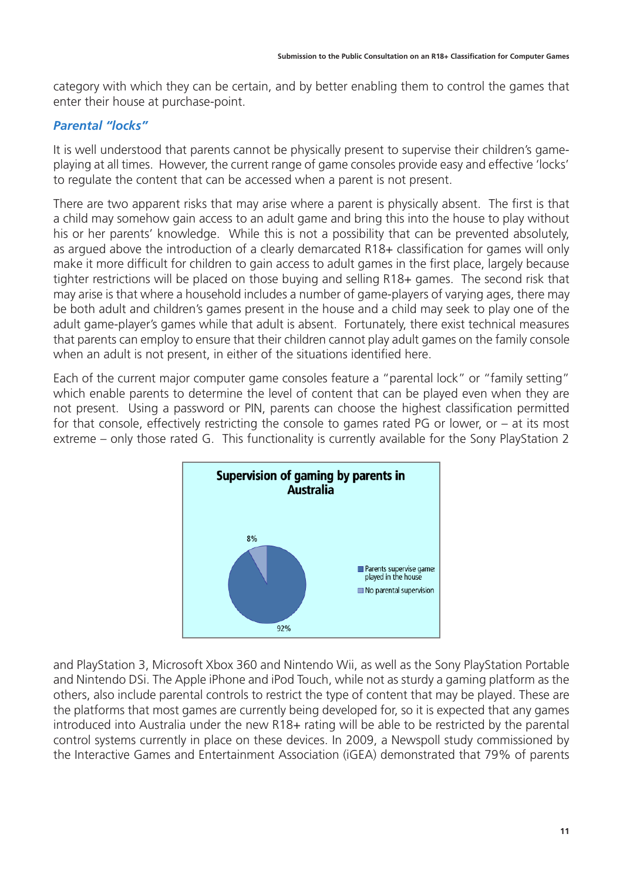category with which they can be certain, and by better enabling them to control the games that enter their house at purchase-point.

### *Parental "locks"*

It is well understood that parents cannot be physically present to supervise their children's gameplaying at all times. However, the current range of game consoles provide easy and effective 'locks' to regulate the content that can be accessed when a parent is not present.

There are two apparent risks that may arise where a parent is physically absent. The first is that a child may somehow gain access to an adult game and bring this into the house to play without his or her parents' knowledge. While this is not a possibility that can be prevented absolutely, as argued above the introduction of a clearly demarcated R18+ classification for games will only make it more difficult for children to gain access to adult games in the first place, largely because tighter restrictions will be placed on those buying and selling R18+ games. The second risk that may arise is that where a household includes a number of game-players of varying ages, there may be both adult and children's games present in the house and a child may seek to play one of the adult game-player's games while that adult is absent. Fortunately, there exist technical measures that parents can employ to ensure that their children cannot play adult games on the family console when an adult is not present, in either of the situations identified here.

Each of the current major computer game consoles feature a "parental lock" or "family setting" which enable parents to determine the level of content that can be played even when they are not present. Using a password or PIN, parents can choose the highest classification permitted for that console, effectively restricting the console to games rated PG or lower, or – at its most extreme – only those rated G. This functionality is currently available for the Sony PlayStation 2



and PlayStation 3, Microsoft Xbox 360 and Nintendo Wii, as well as the Sony PlayStation Portable and Nintendo DSi. The Apple iPhone and iPod Touch, while not as sturdy a gaming platform as the others, also include parental controls to restrict the type of content that may be played. These are the platforms that most games are currently being developed for, so it is expected that any games introduced into Australia under the new R18+ rating will be able to be restricted by the parental control systems currently in place on these devices. In 2009, a Newspoll study commissioned by the Interactive Games and Entertainment Association (iGEA) demonstrated that 79% of parents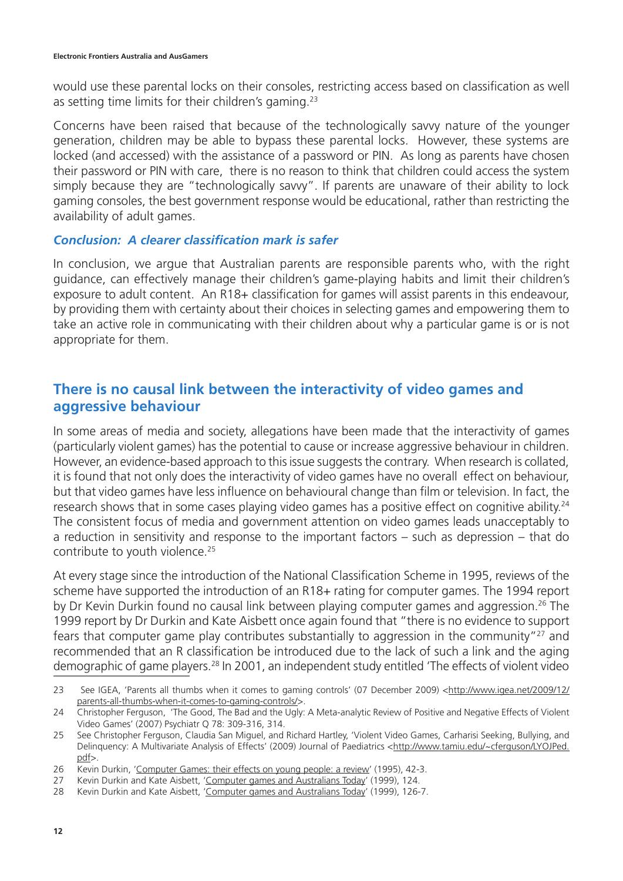would use these parental locks on their consoles, restricting access based on classification as well as setting time limits for their children's gaming.23

Concerns have been raised that because of the technologically savvy nature of the younger generation, children may be able to bypass these parental locks. However, these systems are locked (and accessed) with the assistance of a password or PIN. As long as parents have chosen their password or PIN with care, there is no reason to think that children could access the system simply because they are "technologically savvy". If parents are unaware of their ability to lock gaming consoles, the best government response would be educational, rather than restricting the availability of adult games.

#### *Conclusion: A clearer classification mark is safer*

In conclusion, we argue that Australian parents are responsible parents who, with the right guidance, can effectively manage their children's game-playing habits and limit their children's exposure to adult content. An R18+ classification for games will assist parents in this endeavour, by providing them with certainty about their choices in selecting games and empowering them to take an active role in communicating with their children about why a particular game is or is not appropriate for them.

### **There is no causal link between the interactivity of video games and aggressive behaviour**

In some areas of media and society, allegations have been made that the interactivity of games (particularly violent games) has the potential to cause or increase aggressive behaviour in children. However, an evidence-based approach to this issue suggests the contrary. When research is collated, it is found that not only does the interactivity of video games have no overall effect on behaviour, but that video games have less influence on behavioural change than film or television. In fact, the research shows that in some cases playing video games has a positive effect on cognitive ability.<sup>24</sup> The consistent focus of media and government attention on video games leads unacceptably to a reduction in sensitivity and response to the important factors – such as depression – that do contribute to youth violence.<sup>25</sup>

At every stage since the introduction of the National Classification Scheme in 1995, reviews of the scheme have supported the introduction of an R18+ rating for computer games. The 1994 report by Dr Kevin Durkin found no causal link between playing computer games and aggression.<sup>26</sup> The 1999 report by Dr Durkin and Kate Aisbett once again found that "there is no evidence to support fears that computer game play contributes substantially to aggression in the community"<sup>27</sup> and recommended that an R classification be introduced due to the lack of such a link and the aging demographic of game players.28 In 2001, an independent study entitled 'The effects of violent video

<sup>23</sup> See IGEA, 'Parents all thumbs when it comes to gaming controls' (07 December 2009) <http://www.igea.net/2009/12/ parents-all-thumbs-when-it-comes-to-gaming-controls/>.

<sup>24</sup> Christopher Ferguson, 'The Good, The Bad and the Ugly: A Meta-analytic Review of Positive and Negative Effects of Violent Video Games' (2007) Psychiatr Q 78: 309-316, 314.

<sup>25</sup> See Christopher Ferguson, Claudia San Miguel, and Richard Hartley, 'Violent Video Games, Carharisi Seeking, Bullying, and Delinquency: A Multivariate Analysis of Effects' (2009) Journal of Paediatrics <http://www.tamiu.edu/~cferguson/LYOJPed. pdf>.

<sup>26</sup> Kevin Durkin, 'Computer Games: their effects on young people: a review' (1995), 42-3.

<sup>27</sup> Kevin Durkin and Kate Aisbett, 'Computer games and Australians Today' (1999), 124.

<sup>28</sup> Kevin Durkin and Kate Aisbett, 'Computer games and Australians Today' (1999), 126-7.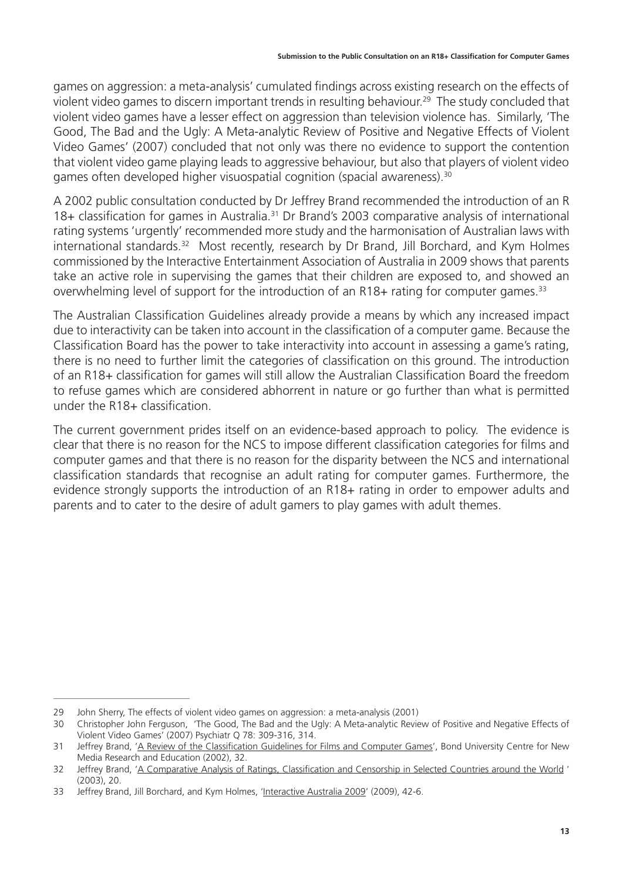games on aggression: a meta-analysis' cumulated findings across existing research on the effects of violent video games to discern important trends in resulting behaviour.<sup>29</sup> The study concluded that violent video games have a lesser effect on aggression than television violence has. Similarly, 'The Good, The Bad and the Ugly: A Meta-analytic Review of Positive and Negative Effects of Violent Video Games' (2007) concluded that not only was there no evidence to support the contention that violent video game playing leads to aggressive behaviour, but also that players of violent video games often developed higher visuospatial cognition (spacial awareness).<sup>30</sup>

A 2002 public consultation conducted by Dr Jeffrey Brand recommended the introduction of an R 18+ classification for games in Australia.<sup>31</sup> Dr Brand's 2003 comparative analysis of international rating systems 'urgently' recommended more study and the harmonisation of Australian laws with international standards.<sup>32</sup> Most recently, research by Dr Brand, Jill Borchard, and Kym Holmes commissioned by the Interactive Entertainment Association of Australia in 2009 shows that parents take an active role in supervising the games that their children are exposed to, and showed an overwhelming level of support for the introduction of an R18+ rating for computer games.<sup>33</sup>

The Australian Classification Guidelines already provide a means by which any increased impact due to interactivity can be taken into account in the classification of a computer game. Because the Classification Board has the power to take interactivity into account in assessing a game's rating, there is no need to further limit the categories of classification on this ground. The introduction of an R18+ classification for games will still allow the Australian Classification Board the freedom to refuse games which are considered abhorrent in nature or go further than what is permitted under the R18+ classification.

The current government prides itself on an evidence-based approach to policy. The evidence is clear that there is no reason for the NCS to impose different classification categories for films and computer games and that there is no reason for the disparity between the NCS and international classification standards that recognise an adult rating for computer games. Furthermore, the evidence strongly supports the introduction of an R18+ rating in order to empower adults and parents and to cater to the desire of adult gamers to play games with adult themes.

<sup>29</sup> John Sherry, The effects of violent video games on aggression: a meta-analysis (2001)

<sup>30</sup> Christopher John Ferguson, 'The Good, The Bad and the Ugly: A Meta-analytic Review of Positive and Negative Effects of Violent Video Games' (2007) Psychiatr Q 78: 309-316, 314.

<sup>31</sup> Jeffrey Brand, 'A Review of the Classification Guidelines for Films and Computer Games', Bond University Centre for New Media Research and Education (2002), 32.

<sup>32</sup> Jeffrey Brand, 'A Comparative Analysis of Ratings, Classification and Censorship in Selected Countries around the World ' (2003), 20.

<sup>33</sup> Jeffrey Brand, Jill Borchard, and Kym Holmes, 'Interactive Australia 2009' (2009), 42-6.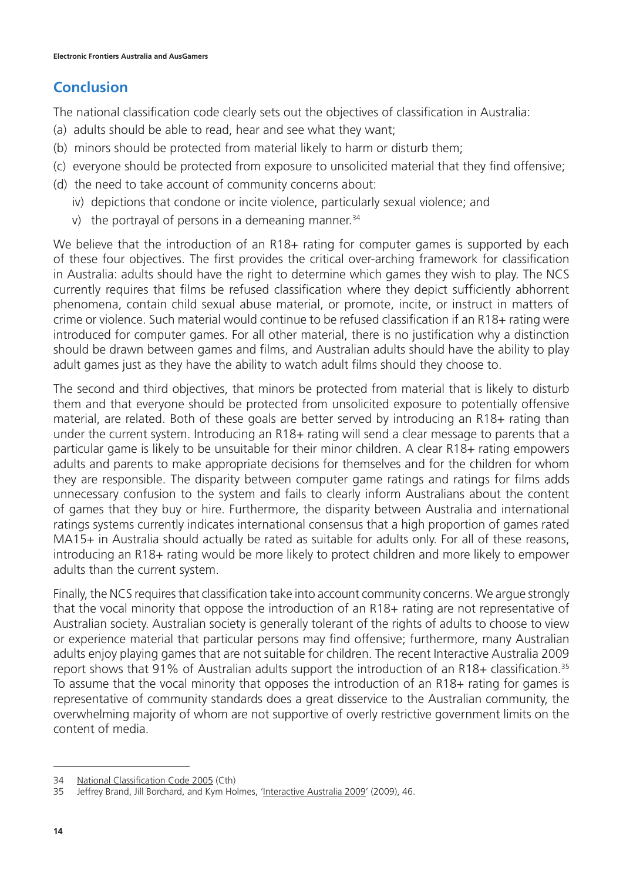## **Conclusion**

The national classification code clearly sets out the objectives of classification in Australia:

- (a) adults should be able to read, hear and see what they want;
- (b) minors should be protected from material likely to harm or disturb them;
- (c) everyone should be protected from exposure to unsolicited material that they find offensive;
- (d) the need to take account of community concerns about:
	- iv) depictions that condone or incite violence, particularly sexual violence; and
	- v) the portrayal of persons in a demeaning manner. $34$

We believe that the introduction of an R18+ rating for computer games is supported by each of these four objectives. The first provides the critical over-arching framework for classification in Australia: adults should have the right to determine which games they wish to play. The NCS currently requires that films be refused classification where they depict sufficiently abhorrent phenomena, contain child sexual abuse material, or promote, incite, or instruct in matters of crime or violence. Such material would continue to be refused classification if an R18+ rating were introduced for computer games. For all other material, there is no justification why a distinction should be drawn between games and films, and Australian adults should have the ability to play adult games just as they have the ability to watch adult films should they choose to.

The second and third objectives, that minors be protected from material that is likely to disturb them and that everyone should be protected from unsolicited exposure to potentially offensive material, are related. Both of these goals are better served by introducing an R18+ rating than under the current system. Introducing an R18+ rating will send a clear message to parents that a particular game is likely to be unsuitable for their minor children. A clear R18+ rating empowers adults and parents to make appropriate decisions for themselves and for the children for whom they are responsible. The disparity between computer game ratings and ratings for films adds unnecessary confusion to the system and fails to clearly inform Australians about the content of games that they buy or hire. Furthermore, the disparity between Australia and international ratings systems currently indicates international consensus that a high proportion of games rated MA15+ in Australia should actually be rated as suitable for adults only. For all of these reasons, introducing an R18+ rating would be more likely to protect children and more likely to empower adults than the current system.

Finally, the NCS requires that classification take into account community concerns. We argue strongly that the vocal minority that oppose the introduction of an R18+ rating are not representative of Australian society. Australian society is generally tolerant of the rights of adults to choose to view or experience material that particular persons may find offensive; furthermore, many Australian adults enjoy playing games that are not suitable for children. The recent Interactive Australia 2009 report shows that 91% of Australian adults support the introduction of an R18+ classification.<sup>35</sup> To assume that the vocal minority that opposes the introduction of an R18+ rating for games is representative of community standards does a great disservice to the Australian community, the overwhelming majority of whom are not supportive of overly restrictive government limits on the content of media.

<sup>34</sup> National Classification Code 2005 (Cth)

<sup>35</sup> Jeffrey Brand, Jill Borchard, and Kym Holmes, 'Interactive Australia 2009' (2009), 46.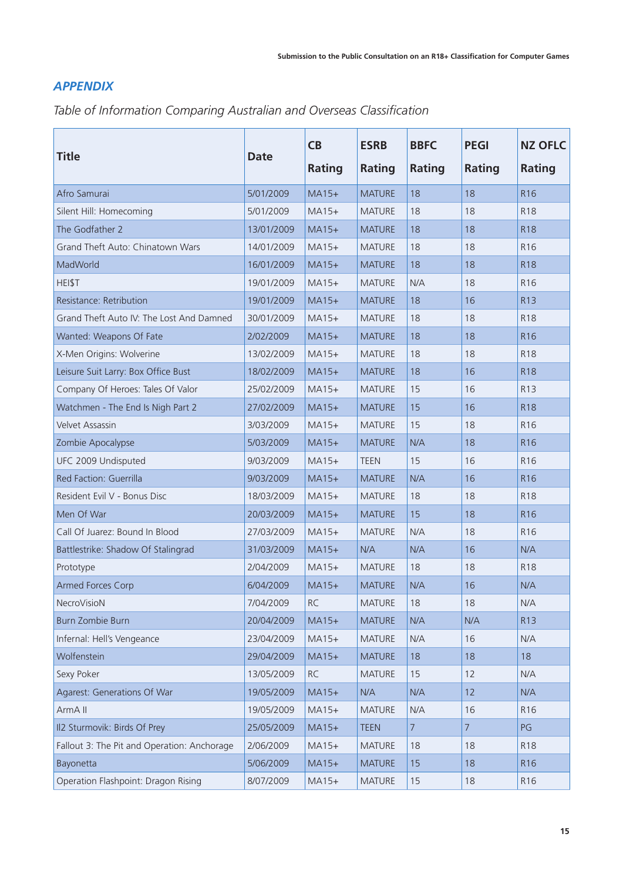#### *APPENDIX*

*Table of Information Comparing Australian and Overseas Classification* 

| <b>Title</b>                                | <b>Date</b> | CB        | <b>ESRB</b>   | <b>BBFC</b>    | <b>PEGI</b> | <b>NZ OFLC</b>  |
|---------------------------------------------|-------------|-----------|---------------|----------------|-------------|-----------------|
|                                             |             | Rating    | <b>Rating</b> | <b>Rating</b>  | Rating      | Rating          |
| Afro Samurai                                | 5/01/2009   | $MA15+$   | <b>MATURE</b> | 18             | 18          | R <sub>16</sub> |
| Silent Hill: Homecoming                     | 5/01/2009   | $MA15+$   | <b>MATURE</b> | 18             | 18          | R <sub>18</sub> |
| The Godfather 2                             | 13/01/2009  | $MA15+$   | <b>MATURE</b> | 18             | 18          | <b>R18</b>      |
| Grand Theft Auto: Chinatown Wars            | 14/01/2009  | $MA15+$   | <b>MATURE</b> | 18             | 18          | R <sub>16</sub> |
| MadWorld                                    | 16/01/2009  | $MA15+$   | <b>MATURE</b> | 18             | 18          | R <sub>18</sub> |
| HEI\$T                                      | 19/01/2009  | $MA15+$   | <b>MATURE</b> | N/A            | 18          | R <sub>16</sub> |
| Resistance: Retribution                     | 19/01/2009  | $MA15+$   | <b>MATURE</b> | 18             | 16          | R <sub>13</sub> |
| Grand Theft Auto IV: The Lost And Damned    | 30/01/2009  | $MA15+$   | <b>MATURE</b> | 18             | 18          | R <sub>18</sub> |
| Wanted: Weapons Of Fate                     | 2/02/2009   | $MA15+$   | <b>MATURE</b> | 18             | 18          | R <sub>16</sub> |
| X-Men Origins: Wolverine                    | 13/02/2009  | $MA15+$   | <b>MATURE</b> | 18             | 18          | R <sub>18</sub> |
| Leisure Suit Larry: Box Office Bust         | 18/02/2009  | $MA15+$   | <b>MATURE</b> | 18             | 16          | R <sub>18</sub> |
| Company Of Heroes: Tales Of Valor           | 25/02/2009  | $MA15+$   | <b>MATURE</b> | 15             | 16          | R <sub>13</sub> |
| Watchmen - The End Is Nigh Part 2           | 27/02/2009  | $MA15+$   | <b>MATURE</b> | 15             | 16          | <b>R18</b>      |
| <b>Velvet Assassin</b>                      | 3/03/2009   | $MA15+$   | <b>MATURE</b> | 15             | 18          | R <sub>16</sub> |
| Zombie Apocalypse                           | 5/03/2009   | $MA15+$   | <b>MATURE</b> | N/A            | 18          | R <sub>16</sub> |
| UFC 2009 Undisputed                         | 9/03/2009   | $MA15+$   | <b>TEEN</b>   | 15             | 16          | R <sub>16</sub> |
| Red Faction: Guerrilla                      | 9/03/2009   | $MA15+$   | <b>MATURE</b> | N/A            | 16          | R <sub>16</sub> |
| Resident Evil V - Bonus Disc                | 18/03/2009  | $MA15+$   | <b>MATURE</b> | 18             | 18          | R <sub>18</sub> |
| Men Of War                                  | 20/03/2009  | $MA15+$   | <b>MATURE</b> | 15             | 18          | R <sub>16</sub> |
| Call Of Juarez: Bound In Blood              | 27/03/2009  | $MA15+$   | <b>MATURE</b> | N/A            | 18          | R <sub>16</sub> |
| Battlestrike: Shadow Of Stalingrad          | 31/03/2009  | $MA15+$   | N/A           | N/A            | 16          | N/A             |
| Prototype                                   | 2/04/2009   | $MA15+$   | <b>MATURE</b> | 18             | 18          | <b>R18</b>      |
| Armed Forces Corp                           | 6/04/2009   | $MA15+$   | <b>MATURE</b> | N/A            | 16          | N/A             |
| NecroVisioN                                 | 7/04/2009   | <b>RC</b> | <b>MATURE</b> | 18             | 18          | N/A             |
| Burn Zombie Burn                            | 20/04/2009  | $MA15+$   | <b>MATURE</b> | N/A            | N/A         | R <sub>13</sub> |
| Infernal: Hell's Vengeance                  | 23/04/2009  | $MA15+$   | <b>MATURE</b> | N/A            | 16          | N/A             |
| Wolfenstein                                 | 29/04/2009  | $MA15+$   | <b>MATURE</b> | 18             | 18          | 18              |
| Sexy Poker                                  | 13/05/2009  | <b>RC</b> | <b>MATURE</b> | 15             | 12          | N/A             |
| Agarest: Generations Of War                 | 19/05/2009  | $MA15+$   | N/A           | N/A            | 12          | N/A             |
| ArmA II                                     | 19/05/2009  | $MA15+$   | <b>MATURE</b> | N/A            | 16          | R16             |
| II2 Sturmovik: Birds Of Prey                | 25/05/2009  | $MA15+$   | <b>TEEN</b>   | $\overline{7}$ | 7           | PG              |
| Fallout 3: The Pit and Operation: Anchorage | 2/06/2009   | $MA15+$   | <b>MATURE</b> | 18             | 18          | R <sub>18</sub> |
| Bayonetta                                   | 5/06/2009   | $MA15+$   | <b>MATURE</b> | 15             | 18          | R <sub>16</sub> |
| Operation Flashpoint: Dragon Rising         | 8/07/2009   | $MA15+$   | <b>MATURE</b> | 15             | 18          | R16             |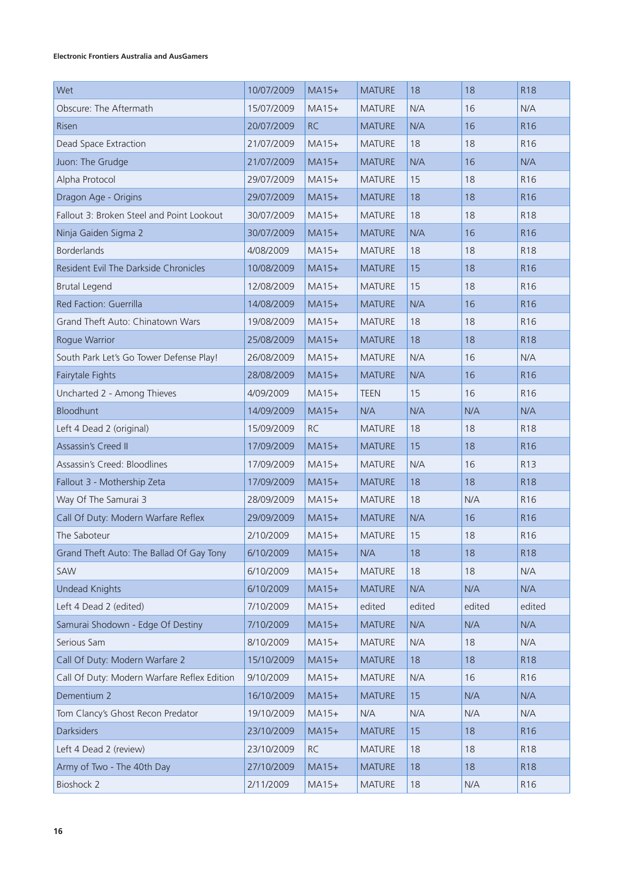#### **Electronic Frontiers Australia and AusGamers**

| Wet                                         | 10/07/2009 | $MA15+$   | <b>MATURE</b> | 18     | 18     | <b>R18</b>      |
|---------------------------------------------|------------|-----------|---------------|--------|--------|-----------------|
| Obscure: The Aftermath                      | 15/07/2009 | $MA15+$   | <b>MATURE</b> | N/A    | 16     | N/A             |
| <b>Risen</b>                                | 20/07/2009 | <b>RC</b> | <b>MATURE</b> | N/A    | 16     | R <sub>16</sub> |
| Dead Space Extraction                       | 21/07/2009 | $MA15+$   | <b>MATURE</b> | 18     | 18     | R <sub>16</sub> |
| Juon: The Grudge                            | 21/07/2009 | $MA15+$   | <b>MATURE</b> | N/A    | 16     | N/A             |
| Alpha Protocol                              | 29/07/2009 | $MA15+$   | <b>MATURE</b> | 15     | 18     | R <sub>16</sub> |
| Dragon Age - Origins                        | 29/07/2009 | $MA15+$   | <b>MATURE</b> | 18     | 18     | R <sub>16</sub> |
| Fallout 3: Broken Steel and Point Lookout   | 30/07/2009 | $MA15+$   | <b>MATURE</b> | 18     | 18     | R <sub>18</sub> |
| Ninja Gaiden Sigma 2                        | 30/07/2009 | $MA15+$   | <b>MATURE</b> | N/A    | 16     | R <sub>16</sub> |
| <b>Borderlands</b>                          | 4/08/2009  | $MA15+$   | <b>MATURE</b> | 18     | 18     | R <sub>18</sub> |
| Resident Evil The Darkside Chronicles       | 10/08/2009 | $MA15+$   | <b>MATURE</b> | 15     | 18     | R <sub>16</sub> |
| <b>Brutal Legend</b>                        | 12/08/2009 | $MA15+$   | <b>MATURE</b> | 15     | 18     | R <sub>16</sub> |
| Red Faction: Guerrilla                      | 14/08/2009 | $MA15+$   | <b>MATURE</b> | N/A    | 16     | R <sub>16</sub> |
| Grand Theft Auto: Chinatown Wars            | 19/08/2009 | $MA15+$   | <b>MATURE</b> | 18     | 18     | R <sub>16</sub> |
| Rogue Warrior                               | 25/08/2009 | $MA15+$   | <b>MATURE</b> | 18     | 18     | <b>R18</b>      |
| South Park Let's Go Tower Defense Play!     | 26/08/2009 | $MA15+$   | <b>MATURE</b> | N/A    | 16     | N/A             |
| Fairytale Fights                            | 28/08/2009 | $MA15+$   | <b>MATURE</b> | N/A    | 16     | R <sub>16</sub> |
| Uncharted 2 - Among Thieves                 | 4/09/2009  | $MA15+$   | <b>TEEN</b>   | 15     | 16     | R <sub>16</sub> |
| Bloodhunt                                   | 14/09/2009 | $MA15+$   | N/A           | N/A    | N/A    | N/A             |
| Left 4 Dead 2 (original)                    | 15/09/2009 | <b>RC</b> | <b>MATURE</b> | 18     | 18     | R <sub>18</sub> |
| <b>Assassin's Creed II</b>                  | 17/09/2009 | $MA15+$   | <b>MATURE</b> | 15     | 18     | R <sub>16</sub> |
| Assassin's Creed: Bloodlines                | 17/09/2009 | $MA15+$   | <b>MATURE</b> | N/A    | 16     | R <sub>13</sub> |
| Fallout 3 - Mothership Zeta                 | 17/09/2009 | $MA15+$   | <b>MATURE</b> | 18     | 18     | <b>R18</b>      |
| Way Of The Samurai 3                        | 28/09/2009 | $MA15+$   | <b>MATURE</b> | 18     | N/A    | R <sub>16</sub> |
| Call Of Duty: Modern Warfare Reflex         | 29/09/2009 | $MA15+$   | <b>MATURE</b> | N/A    | 16     | R <sub>16</sub> |
| The Saboteur                                | 2/10/2009  | $MA15+$   | <b>MATURE</b> | 15     | 18     | R <sub>16</sub> |
| Grand Theft Auto: The Ballad Of Gay Tony    | 6/10/2009  | $MA15+$   | N/A           | 18     | 18     | <b>R18</b>      |
| SAW                                         | 6/10/2009  | $MA15+$   | <b>MATURE</b> | 18     | 18     | N/A             |
| <b>Undead Knights</b>                       | 6/10/2009  | $MA15+$   | <b>MATURE</b> | N/A    | N/A    | N/A             |
| Left 4 Dead 2 (edited)                      | 7/10/2009  | $MA15+$   | edited        | edited | edited | edited          |
| Samurai Shodown - Edge Of Destiny           | 7/10/2009  | $MA15+$   | <b>MATURE</b> | N/A    | N/A    | N/A             |
| Serious Sam                                 | 8/10/2009  | $MA15+$   | <b>MATURE</b> | N/A    | 18     | N/A             |
| Call Of Duty: Modern Warfare 2              | 15/10/2009 | $MA15+$   | <b>MATURE</b> | 18     | 18     | <b>R18</b>      |
| Call Of Duty: Modern Warfare Reflex Edition | 9/10/2009  | $MA15+$   | <b>MATURE</b> | N/A    | 16     | R <sub>16</sub> |
| Dementium 2                                 | 16/10/2009 | $MA15+$   | <b>MATURE</b> | 15     | N/A    | N/A             |
| Tom Clancy's Ghost Recon Predator           | 19/10/2009 | $MA15+$   | N/A           | N/A    | N/A    | N/A             |
| <b>Darksiders</b>                           | 23/10/2009 | $MA15+$   | <b>MATURE</b> | 15     | 18     | R <sub>16</sub> |
| Left 4 Dead 2 (review)                      | 23/10/2009 | <b>RC</b> | <b>MATURE</b> | 18     | 18     | <b>R18</b>      |
| Army of Two - The 40th Day                  | 27/10/2009 | $MA15+$   | <b>MATURE</b> | 18     | 18     | <b>R18</b>      |
| <b>Bioshock 2</b>                           | 2/11/2009  | $MA15+$   | <b>MATURE</b> | 18     | N/A    | R16             |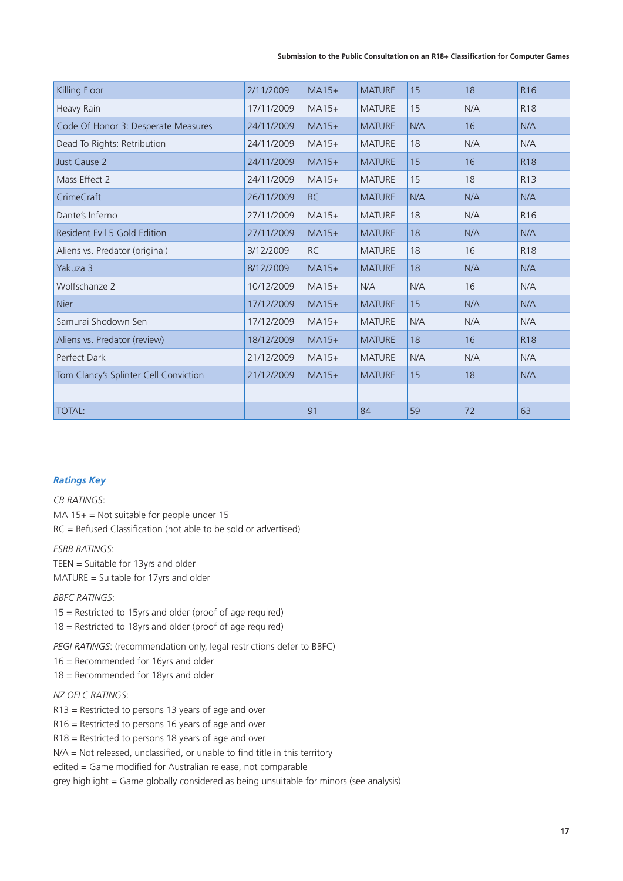| Killing Floor                         | 2/11/2009  | $MA15+$   | <b>MATURE</b> | 15  | 18  | R <sub>16</sub> |
|---------------------------------------|------------|-----------|---------------|-----|-----|-----------------|
| Heavy Rain                            | 17/11/2009 | $MA15+$   | <b>MATURE</b> | 15  | N/A | R <sub>18</sub> |
| Code Of Honor 3: Desperate Measures   | 24/11/2009 | $MA15+$   | <b>MATURE</b> | N/A | 16  | N/A             |
| Dead To Rights: Retribution           | 24/11/2009 | $MA15+$   | <b>MATURE</b> | 18  | N/A | N/A             |
| Just Cause 2                          | 24/11/2009 | $MA15+$   | <b>MATURE</b> | 15  | 16  | R <sub>18</sub> |
| Mass Effect 2                         | 24/11/2009 | $MA15+$   | <b>MATURE</b> | 15  | 18  | R <sub>13</sub> |
| CrimeCraft                            | 26/11/2009 | <b>RC</b> | <b>MATURE</b> | N/A | N/A | N/A             |
| Dante's Inferno                       | 27/11/2009 | $MA15+$   | <b>MATURE</b> | 18  | N/A | R <sub>16</sub> |
| Resident Evil 5 Gold Edition          | 27/11/2009 | $MA15+$   | <b>MATURE</b> | 18  | N/A | N/A             |
| Aliens vs. Predator (original)        | 3/12/2009  | <b>RC</b> | <b>MATURE</b> | 18  | 16  | R <sub>18</sub> |
| Yakuza 3                              | 8/12/2009  | $MA15+$   | <b>MATURE</b> | 18  | N/A | N/A             |
| Wolfschanze 2                         | 10/12/2009 | $MA15+$   | N/A           | N/A | 16  | N/A             |
| <b>Nier</b>                           | 17/12/2009 | $MA15+$   | <b>MATURE</b> | 15  | N/A | N/A             |
| Samurai Shodown Sen                   | 17/12/2009 | $MA15+$   | <b>MATURE</b> | N/A | N/A | N/A             |
| Aliens vs. Predator (review)          | 18/12/2009 | $MA15+$   | <b>MATURE</b> | 18  | 16  | R <sub>18</sub> |
| Perfect Dark                          | 21/12/2009 | $MA15+$   | <b>MATURE</b> | N/A | N/A | N/A             |
| Tom Clancy's Splinter Cell Conviction | 21/12/2009 | $MA15+$   | <b>MATURE</b> | 15  | 18  | N/A             |
|                                       |            |           |               |     |     |                 |
| <b>TOTAL:</b>                         |            | 91        | 84            | 59  | 72  | 63              |

#### *Ratings Key*

*CB RATINGS*:

 $MA$  15+ = Not suitable for people under 15 RC = Refused Classification (not able to be sold or advertised)

*ESRB RATINGS*: TEEN = Suitable for 13yrs and older MATURE = Suitable for 17yrs and older

*BBFC RATINGS*: 15 = Restricted to 15yrs and older (proof of age required)

18 = Restricted to 18yrs and older (proof of age required)

*PEGI RATINGS*: (recommendation only, legal restrictions defer to BBFC)

16 = Recommended for 16yrs and older

18 = Recommended for 18yrs and older

*NZ OFLC RATINGS*:

R13 = Restricted to persons 13 years of age and over

R16 = Restricted to persons 16 years of age and over

R18 = Restricted to persons 18 years of age and over

N/A = Not released, unclassified, or unable to find title in this territory

edited = Game modified for Australian release, not comparable

grey highlight = Game globally considered as being unsuitable for minors (see analysis)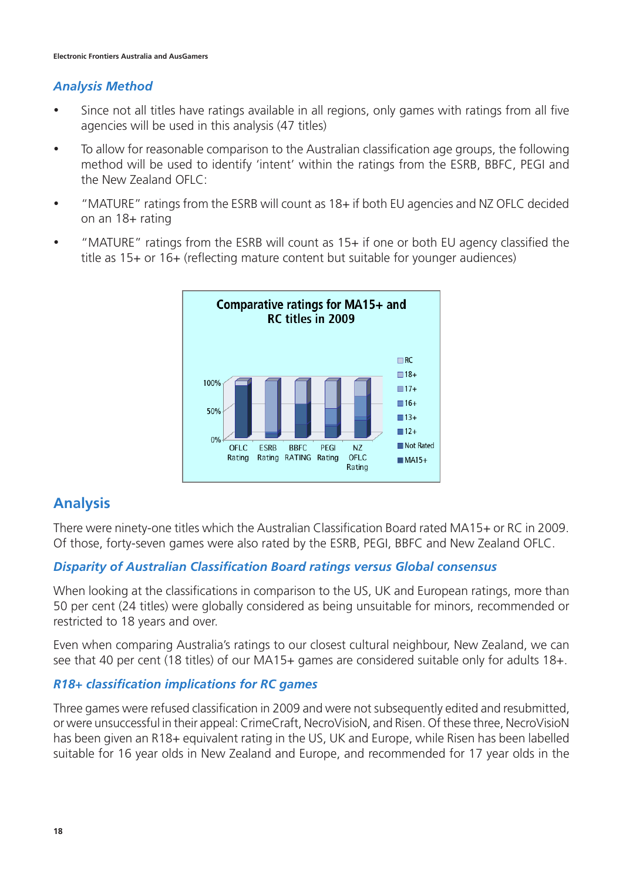#### *Analysis Method*

- Since not all titles have ratings available in all regions, only games with ratings from all five agencies will be used in this analysis (47 titles)
- To allow for reasonable comparison to the Australian classification age groups, the following method will be used to identify 'intent' within the ratings from the ESRB, BBFC, PEGI and the New Zealand OFLC:
- "MATURE" ratings from the ESRB will count as 18+ if both EU agencies and NZ OFLC decided on an 18+ rating
- "MATURE" ratings from the ESRB will count as 15+ if one or both EU agency classified the title as 15+ or 16+ (reflecting mature content but suitable for younger audiences)



### **Analysis**

There were ninety-one titles which the Australian Classification Board rated MA15+ or RC in 2009. Of those, forty-seven games were also rated by the ESRB, PEGI, BBFC and New Zealand OFLC.

### *Disparity of Australian Classification Board ratings versus Global consensus*

When looking at the classifications in comparison to the US, UK and European ratings, more than 50 per cent (24 titles) were globally considered as being unsuitable for minors, recommended or restricted to 18 years and over.

Even when comparing Australia's ratings to our closest cultural neighbour, New Zealand, we can see that 40 per cent (18 titles) of our MA15+ games are considered suitable only for adults 18+.

#### *R18+ classification implications for RC games*

Three games were refused classification in 2009 and were not subsequently edited and resubmitted, or were unsuccessful in their appeal: CrimeCraft, NecroVisioN, and Risen. Of these three, NecroVisioN has been given an R18+ equivalent rating in the US, UK and Europe, while Risen has been labelled suitable for 16 year olds in New Zealand and Europe, and recommended for 17 year olds in the